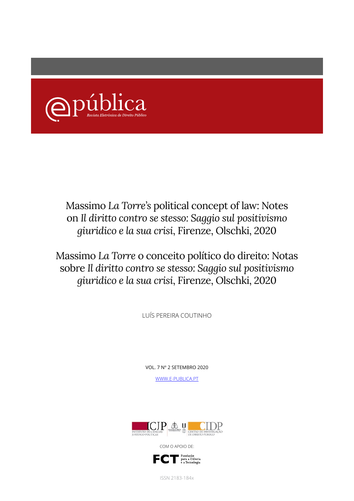

## Massimo *La Torre's* political concept of law: Notes on *Il diritto contro se stesso: Saggio sul positivismo giuridico e la sua crisi*, Firenze, Olschki, 2020

Massimo *La Torre* o conceito político do direito: Notas sobre *Il diritto contro se stesso: Saggio sul positivismo giuridico e la sua crisi*, Firenze, Olschki, 2020

LUÍS PEREIRA COUTINHO

VOL. 7 Nº 2 SETEMBRO 2020

WWW.E-PUBLICA.PT



COM O APOIO DE:



ISSN 2183-184x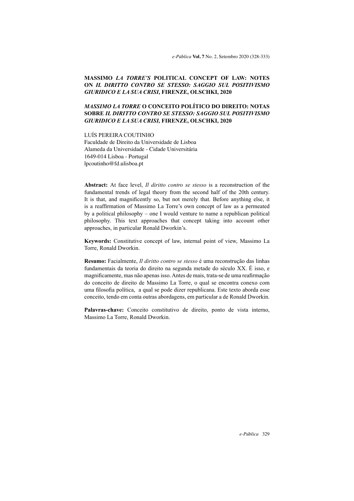*e-Pública* **Vol. 7** No. 2, Setembro 2020 (328-333)

## **MASSIMO** *LA TORRE'S* **POLITICAL CONCEPT OF LAW: NOTES ON** *IL DIRITTO CONTRO SE STESSO: SAGGIO SUL POSITIVISMO GIURIDICO E LA SUA CRISI***, FIRENZE, OLSCHKI, 2020**

## *MASSIMO LA TORRE* **O CONCEITO POLÍTICO DO DIREITO: NOTAS SOBRE** *IL DIRITTO CONTRO SE STESSO: SAGGIO SUL POSITIVISMO GIURIDICO E LA SUA CRISI,* **FIRENZE, OLSCHKI, 2020**

LUÍS PEREIRA COUTINHO Faculdade de Direito da Universidade de Lisboa Alameda da Universidade - Cidade Universitária 1649-014 Lisboa - Portugal lpcoutinho@fd.ulisboa.pt

**Abstract:** At face level, *Il diritto contro se stesso* is a reconstruction of the fundamental trends of legal theory from the second half of the 20th century. It is that, and magnificently so, but not merely that. Before anything else, it is a reaffirmation of Massimo La Torre's own concept of law as a permeated by a political philosophy – one I would venture to name a republican political philosophy. This text approaches that concept taking into account other approaches, in particular Ronald Dworkin's.

**Keywords:** Constitutive concept of law, internal point of view, Massimo La Torre, Ronald Dworkin.

**Resumo:** Facialmente, *Il diritto contro se stesso* é uma reconstrução das linhas fundamentais da teoria do direito na segunda metade do século XX. É isso, e magnificamente, mas não apenas isso. Antes de mais, trata-se de uma reafirmação do conceito de direito de Massimo La Torre, o qual se encontra conexo com uma filosofia política, a qual se pode dizer republicana. Este texto aborda esse conceito, tendo em conta outras abordagens, em particular a de Ronald Dworkin.

**Palavras-chave:** Conceito constitutivo de direito, ponto de vista interno, Massimo La Torre, Ronald Dworkin.

*e-Pública* 329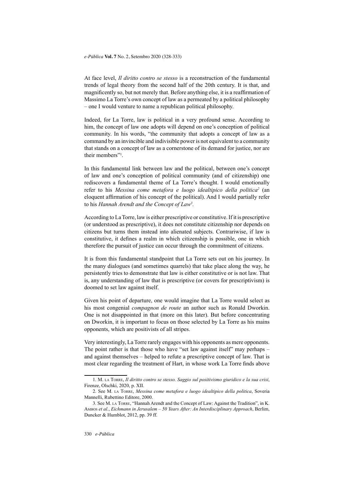At face level, *Il diritto contro se stesso* is a reconstruction of the fundamental trends of legal theory from the second half of the 20th century. It is that, and magnificently so, but not merely that. Before anything else, it is a reaffirmation of Massimo La Torre's own concept of law as a permeated by a political philosophy – one I would venture to name a republican political philosophy.

Indeed, for La Torre, law is political in a very profound sense. According to him, the concept of law one adopts will depend on one's conception of political community. In his words, "the community that adopts a concept of law as a command by an invincible and indivisible power is not equivalent to a community that stands on a concept of law as a cornerstone of its demand for justice, nor are their members"1 .

In this fundamental link between law and the political, between one's concept of law and one's conception of political community (and of citizenship) one rediscovers a fundamental theme of La Torre's thought. I would emotionally refer to his *Messina come metafora e luogo idealtipico della politica2* (an eloquent affirmation of his concept of the political). And I would partially refer to his *Hannah Arendt and the Concept of Law3 .*

According to La Torre, law is either prescriptive or constitutive. If it is prescriptive (or understood as prescriptive), it does not constitute citizenship nor depends on citizens but turns them instead into alienated subjects. Contrariwise, if law is constitutive, it defines a realm in which citizenship is possible, one in which therefore the pursuit of justice can occur through the commitment of citizens.

It is from this fundamental standpoint that La Torre sets out on his journey. In the many dialogues (and sometimes quarrels) that take place along the way, he persistently tries to demonstrate that law is either constitutive or is not law. That is, any understanding of law that is prescriptive (or covers for prescriptivism) is doomed to set law against itself.

Given his point of departure, one would imagine that La Torre would select as his most congenial *compagnon de route* an author such as Ronald Dworkin. One is not disappointed in that (more on this later). But before concentrating on Dworkin, it is important to focus on those selected by La Torre as his mains opponents, which are positivists of all stripes.

Very interestingly, La Torre rarely engages with his opponents as mere opponents. The point rather is that those who have "set law against itself" may perhaps – and against themselves – helped to refute a prescriptive concept of law. That is most clear regarding the treatment of Hart, in whose work La Torre finds above

<sup>1</sup>. M. la Torre, *Il diritto contro se stesso. Saggio sul positivismo giuridico e la sua crisi*, Firenze, Olschki, 2020, p. XII.

<sup>2</sup>. See M. la Torre, *Messina come metafora e luogo idealtipico della politica*, Soveria Mannelli, Rubettino Editore, 2000.

<sup>3</sup>. See M. la Torre, "Hannah Arendt and the Concept of Law: Against the Tradition", in K. Ambos *et al.*, *Eichmann in Jerusalem – 50 Years After: An Interdisciplinary Approach*, Berlim, Duncker & Humblot, 2012, pp. 39 ff.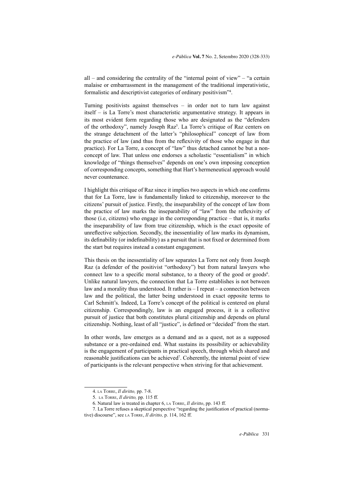all – and considering the centrality of the "internal point of view" – "a certain malaise or embarrassment in the management of the traditional imperativistic, formalistic and descriptivist categories of ordinary positivism"<sup>4</sup> .

Turning positivists against themselves – in order not to turn law against itself – is La Torre's most characteristic argumentative strategy. It appears in its most evident form regarding those who are designated as the "defenders of the orthodoxy", namely Joseph Raz<sup>5</sup>. La Torre's critique of Raz centers on the strange detachment of the latter's "philosophical" concept of law from the practice of law (and thus from the reflexivity of those who engage in that practice). For La Torre, a concept of "law" thus detached cannot be but a nonconcept of law. That unless one endorses a scholastic "essentialism" in which knowledge of "things themselves" depends on one's own imposing conception of corresponding concepts, something that Hart's hermeneutical approach would never countenance.

I highlight this critique of Raz since it implies two aspects in which one confirms that for La Torre, law is fundamentally linked to citizenship, moreover to the citizens' pursuit of justice. Firstly, the inseparability of the concept of law from the practice of law marks the inseparability of "law" from the reflexivity of those (i.e, citizens) who engage in the corresponding practice – that is, it marks the inseparability of law from true citizenship, which is the exact opposite of unreflective subjection. Secondly, the inessentiality of law marks its dynamism, its definability (or indefinability) as a pursuit that is not fixed or determined from the start but requires instead a constant engagement.

This thesis on the inessentiality of law separates La Torre not only from Joseph Raz (a defender of the positivist "orthodoxy") but from natural lawyers who connect law to a specific moral substance, to a theory of the good or goods<sup>6</sup>. Unlike natural lawyers, the connection that La Torre establishes is not between law and a morality thus understood. It rather is – I repeat – a connection between law and the political, the latter being understood in exact opposite terms to Carl Schmitt's. Indeed, La Torre's concept of the political is centered on plural citizenship. Correspondingly, law is an engaged process, it is a collective pursuit of justice that both constitutes plural citizenship and depends on plural citizenship. Nothing, least of all "justice", is defined or "decided" from the start.

In other words, law emerges as a demand and as a quest, not as a supposed substance or a pre-ordained end. What sustains its possibility or achievability is the engagement of participants in practical speech, through which shared and reasonable justifications can be achieved<sup>7</sup>. Coherently, the internal point of view of participants is the relevant perspective when striving for that achievement.

<sup>4</sup>. la Torre, *Il diritto,* pp. 7-8.

<sup>5</sup>. la Torre, *Il diritto,* pp. 115 ff.

<sup>6</sup>. Natural law is treated in chapter 6, la Torre, *Il diritto*, pp. 143 ff.

<sup>7</sup>. La Torre refuses a skeptical perspective "regarding the justification of practical (normative) discourse", see la Torre, *Il diritto,* p. 114, 162 ff.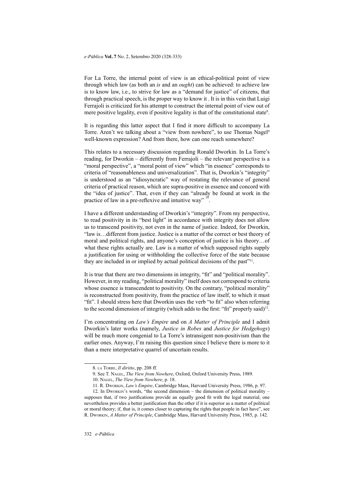For La Torre, the internal point of view is an ethical-political point of view through which law (as both an *is* and an *ought*) can be achieved: to achieve law is to know law, i.e., to strive for law as a "demand for justice" of citizens, that through practical speech, is the proper way to know it . It is in this vein that Luigi Ferrajoli is criticized for his attempt to construct the internal point of view out of mere positive legality, even if positive legality is that of the constitutional state<sup>8</sup>.

It is regarding this latter aspect that I find it more difficult to accompany La Torre. Aren't we talking about a "view from nowhere", to use Thomas Nagel<sup>9</sup> well-known expression? And from there, how can one reach somewhere?

This relates to a necessary discussion regarding Ronald Dworkin. In La Torre's reading, for Dworkin – differently from Ferrajoli – the relevant perspective is a "moral perspective", a "moral point of view" which "in essence" corresponds to criteria of "reasonableness and universalization". That is, Dworkin's "integrity" is understood as an "idiosyncratic" way of restating the relevance of general criteria of practical reason, which are supra-positive in essence and concord with the "idea of justice". That, even if they can "already be found at work in the practice of law in a pre-reflexive and intuitive way" .

I have a different understanding of Dworkin's "integrity". From my perspective, to read positivity in its "best light" in accordance with integrity does not allow us to transcend positivity, not even in the name of justice. Indeed, for Dworkin, "law is…different from justice. Justice is a matter of the correct or best theory of moral and political rights, and anyone's conception of justice is his theory…of what these rights actually are. Law is a matter of which supposed rights supply a justification for using or withholding the collective force of the state because they are included in or implied by actual political decisions of the past"11.

It is true that there are two dimensions in integrity, "fit" and "political morality". However, in my reading, "political morality" itself does not correspond to criteria whose essence is transcendent to positivity. On the contrary, "political morality" is reconstructed from positivity, from the practice of law itself, to which it must "fit". I should stress here that Dworkin uses the verb "to fit" also when referring to the second dimension of integrity (which adds to the first: "fit" properly said)<sup>12</sup>.

I'm concentrating on *Law's Empire* and on *A Matter of Principle* and I admit Dworkin's later works (namely, *Justice in Robes* and *Justice for Hedgehogs*) will be much more congenial to La Torre's intransigent non-positivism than the earlier ones. Anyway, I'm raising this question since I believe there is more to it than a mere interpretative quarrel of uncertain results.

<sup>8</sup>. la Torre, *Il diritto*, pp. 208 ff.

<sup>9</sup>. See T. Nagel, *The View from Nowhere*, Oxford, Oxford University Press, 1989.

<sup>10</sup>. Nagel, *The View from Nowhere*, p. 18.

<sup>11</sup>. R. Dworkin, *Law's Empire*, Cambridge Mass, Harvard University Press, 1986, p. 97.

<sup>12</sup>. In Dworkin's words, "the second dimension – the dimension of political morality – supposes that, if two justifications provide an equally good fit with the legal material, one nevertheless provides a better justification than the other if it is superior as a matter of political or moral theory; if, that is, it comes closer to capturing the rights that people in fact have", see R. Dworkin, *A Matter of Principle*, Cambridge Mass, Harvard University Press, 1985, p. 142.